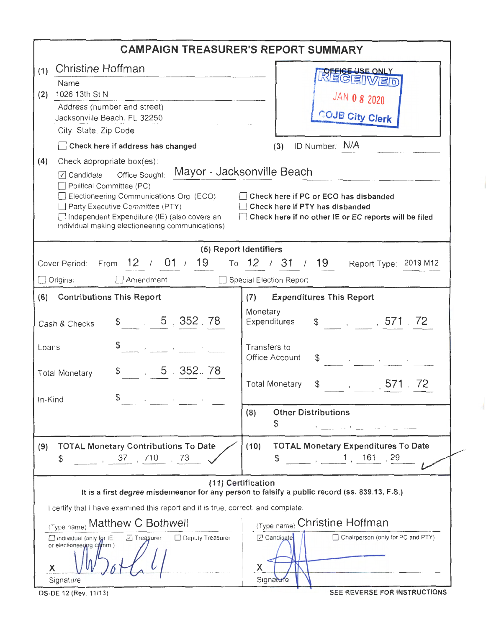| <b>CAMPAIGN TREASURER'S REPORT SUMMARY</b>                                                                                                                                                                                                                                                                                                                                                                                                      |                                                                                                                     |  |  |  |  |  |  |
|-------------------------------------------------------------------------------------------------------------------------------------------------------------------------------------------------------------------------------------------------------------------------------------------------------------------------------------------------------------------------------------------------------------------------------------------------|---------------------------------------------------------------------------------------------------------------------|--|--|--|--|--|--|
| Christine Hoffman<br>(1)                                                                                                                                                                                                                                                                                                                                                                                                                        | <b>SE ONLY</b>                                                                                                      |  |  |  |  |  |  |
| Name<br>1026 13th St N<br>(2)<br>Address (number and street)<br>Jacksonville Beach, FL 32250<br>City, State, Zip Code                                                                                                                                                                                                                                                                                                                           | <b>JAN 0 8 2020</b><br><b>COJB City Clerk</b>                                                                       |  |  |  |  |  |  |
| $\Box$ Check here if address has changed                                                                                                                                                                                                                                                                                                                                                                                                        | $(3)$ ID Number: $N/A$                                                                                              |  |  |  |  |  |  |
| Check appropriate box(es):<br>(4)<br>☑ Candidate  office Sought: Mayor - Jacksonville Beach<br>Political Committee (PC)<br>Electioneering Communications Org. (ECO)<br>Check here if PC or ECO has disbanded<br>Party Executive Committee (PTY)<br>Check here if PTY has disbanded<br>Independent Expenditure (IE) (also covers an<br>Check here if no other IE or EC reports will be filed<br>individual making electioneering communications) |                                                                                                                     |  |  |  |  |  |  |
| (5) Report Identifiers                                                                                                                                                                                                                                                                                                                                                                                                                          |                                                                                                                     |  |  |  |  |  |  |
| $\Box$ Amendment<br>$\Box$ Original                                                                                                                                                                                                                                                                                                                                                                                                             | Cover Period: From 12 / 01 / 19 To 12 / 31 / 19 Report Type: 2019 M12<br>Special Election Report                    |  |  |  |  |  |  |
| (6) Contributions This Report                                                                                                                                                                                                                                                                                                                                                                                                                   | <b>Expenditures This Report</b><br>(7)                                                                              |  |  |  |  |  |  |
| \$5, 352, 78<br>Cash & Checks                                                                                                                                                                                                                                                                                                                                                                                                                   | Monetary<br>Expenditures \$, 571 72                                                                                 |  |  |  |  |  |  |
| \$<br>Loans<br>$\label{eq:3.1} \mathcal{A} = \mathcal{A} \otimes \mathcal{A} = \mathcal{A} \otimes \mathcal{A} = \mathcal{A} \otimes \mathcal{A} \otimes \mathcal{A}$<br>$\frac{1}{2}$ , 5, 352.78                                                                                                                                                                                                                                              | Transfers to<br>Office Account                                                                                      |  |  |  |  |  |  |
| <b>Total Monetary</b><br>\$<br>In-Kind                                                                                                                                                                                                                                                                                                                                                                                                          | <b>Total Monetary</b><br>$\frac{1}{2}$ , 571.                                                                       |  |  |  |  |  |  |
|                                                                                                                                                                                                                                                                                                                                                                                                                                                 | (8)<br><b>Other Distributions</b><br>\$<br>the company of the company of the company of                             |  |  |  |  |  |  |
| <b>TOTAL Monetary Contributions To Date</b><br>(9)<br>37, 710, 73<br>\$                                                                                                                                                                                                                                                                                                                                                                         | <b>TOTAL Monetary Expenditures To Date</b><br>(10)<br>$\frac{1}{2}$ , $\frac{161}{29}$<br>\$                        |  |  |  |  |  |  |
|                                                                                                                                                                                                                                                                                                                                                                                                                                                 | (11) Certification<br>It is a first degree misdemeanor for any person to falsify a public record (ss. 839.13, F.S.) |  |  |  |  |  |  |
| I certify that I have examined this report and it is true, correct, and complete.                                                                                                                                                                                                                                                                                                                                                               |                                                                                                                     |  |  |  |  |  |  |
| (Type name) Matthew C Bothwell<br>Deputy Treasurer<br>Treasurer<br>Individual (only for IE<br>or electioneering comm.)<br>X.                                                                                                                                                                                                                                                                                                                    | (Type name) Christine Hoffman<br>Candidate<br>$\Box$ Chairperson (only for PC and PTY)<br>X<br>Signature            |  |  |  |  |  |  |
| Signature<br>DS-DE 12 (Rev. 11/13)                                                                                                                                                                                                                                                                                                                                                                                                              | SEE REVERSE FOR INSTRUCTIONS                                                                                        |  |  |  |  |  |  |

4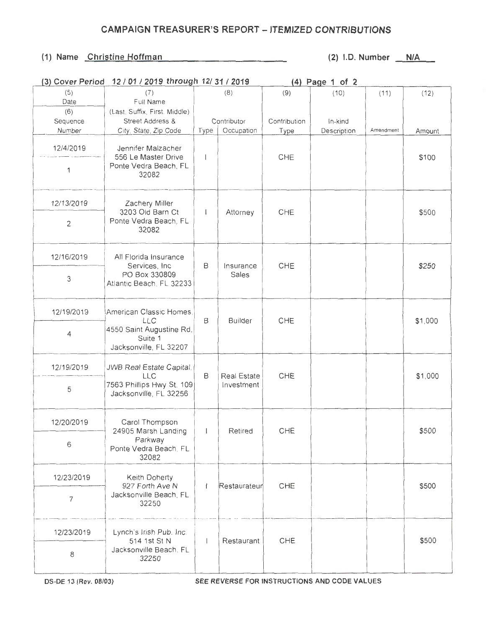## **CAMPAIGN TREASURER'S REPORT - ITEMIZED CONTRIBUTIONS**

## **(1) Name Christine Hoffman (2) l.D. Number N/A**

| (3) Cover Period | 12 / 01 / 2019 through 12/ 31 / 2019                                                            |              |                           | (4) Page 1 of 2 |             |           |         |
|------------------|-------------------------------------------------------------------------------------------------|--------------|---------------------------|-----------------|-------------|-----------|---------|
| (5)              | (7)                                                                                             |              | (8)                       | (9)             | (10)        | (11)      | (12)    |
| Date             | Full Name                                                                                       |              |                           |                 |             |           |         |
| (6)              | (Last, Suffix, First, Middle)                                                                   |              |                           |                 |             |           |         |
| Sequence         | Street Address &                                                                                |              | Contributor               | Contribution    | In-kind     |           |         |
| Number           | City, State, Zip Code                                                                           | Type         | Occupation                | Type            | Description | Amendment | Amount  |
| 12/4/2019        | Jennifer Malzacher<br>556 Le Master Drive                                                       |              |                           | CHE             |             |           | \$100   |
| 1                | Ponte Vedra Beach, FL<br>32082                                                                  |              |                           |                 |             |           |         |
| 12/13/2019       | Zachery Miller                                                                                  |              |                           |                 |             |           |         |
| $\overline{2}$   | 3203 Old Barn Ct<br>Ponte Vedra Beach, FL<br>32082                                              | $\mathbf{I}$ | Attorney                  | CHE             |             |           | \$500   |
| 12/16/2019       | All Florida Insurance<br>Services, Inc.<br>PO Box 330809<br>Atlantic Beach, FL 32233            | B            | Insurance<br>Sales        | CHE             |             |           | \$250   |
| 3                |                                                                                                 |              |                           |                 |             |           |         |
| 12/19/2019       | American Classic Homes,<br>LLC<br>4550 Saint Augustine Rd,<br>Suite 1<br>Jacksonville, FL 32207 | В            | Builder                   | CHE             |             |           | \$1,000 |
| $\overline{4}$   |                                                                                                 |              |                           |                 |             |           |         |
| 12/19/2019       | JWB Real Estate Capital.<br><b>LLC</b><br>7563 Phillips Hwy St. 109<br>Jacksonville, FL 32256   | B            | Real Estate<br>Investment | CHE             |             |           | \$1,000 |
| 5                |                                                                                                 |              |                           |                 |             |           |         |
| 12/20/2019       | Carol Thompson<br>24905 Marsh Landing                                                           | $\mathbf{L}$ | Retired                   | CHE             |             |           | \$500   |
| 6                | Parkway<br>Ponte Vedra Beach, FL<br>32082                                                       |              |                           |                 |             |           |         |
| 12/23/2019       | Keith Doherty<br>927 Forth Ave N                                                                | $\mathbf{I}$ | Restaurateur              | CHF             |             |           | \$500   |
| $\overline{7}$   | Jacksonville Beach, FL<br>32250                                                                 |              |                           |                 |             |           |         |
| 12/23/2019       | Lynch's Irish Pub. Inc.<br>514 1st St N                                                         | $\mathbf{I}$ | Restaurant                | CHE             |             |           | \$500   |
| 8                | Jacksonville Beach, FL<br>32250                                                                 |              |                           |                 |             |           |         |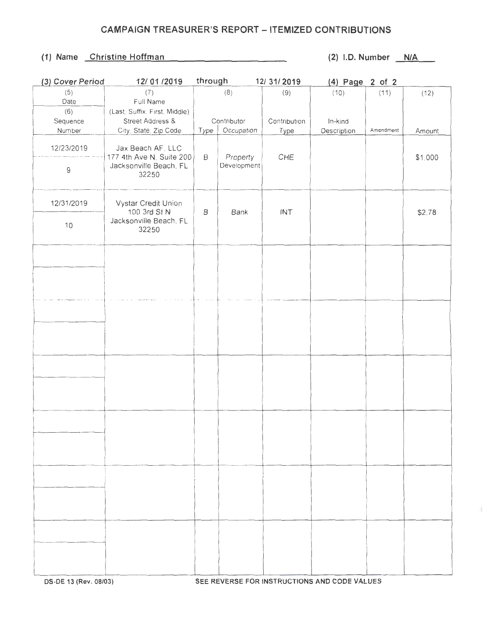## **CAMPAIGN TREASURER'S REPORT - ITEMIZED CONTRIBUTIONS**

## (1) Name Christine Hoffman (2) I.D. Number N/A

×.

| (3) Cover Period | 12/01/2019                                                  | through     |                         | 12/31/2019   | (4) Page 2 of 2 |           |         |
|------------------|-------------------------------------------------------------|-------------|-------------------------|--------------|-----------------|-----------|---------|
| (5)              | (7)                                                         |             | (8)                     | (9)          | (10)            | (11)      | (12)    |
| Date             | Full Name                                                   |             |                         |              |                 |           |         |
| (6)              | (Last, Suffix, First, Middle)                               |             |                         |              |                 |           |         |
| Sequence         | Street Address &                                            |             | Contributor             | Contribution | In-kind         |           |         |
| Number           | City, State, Zip Code                                       | Type        | Occupation              | Type         | Description     | Amendment | Amount  |
| 12/23/2019       | Jax Beach AF, LLC                                           |             |                         |              |                 |           |         |
| $\mathsf g$      | 177 4th Ave N, Suite 200<br>Jacksonville Beach, FL<br>32250 | $\mathsf B$ | Property<br>Development | CHE          |                 |           | \$1,000 |
| 12/31/2019       | Vystar Credit Union<br>100 3rd St N                         | B           | Bank                    | INT          |                 |           | \$2.78  |
| 10               | Jacksonville Beach, FL<br>32250                             |             |                         |              |                 |           |         |
|                  |                                                             |             |                         |              |                 |           |         |
|                  |                                                             |             |                         |              |                 |           |         |
|                  |                                                             |             |                         |              |                 |           |         |
|                  |                                                             |             |                         |              |                 |           |         |
|                  |                                                             |             |                         |              |                 |           |         |
|                  |                                                             |             |                         |              |                 |           |         |
|                  |                                                             |             |                         |              |                 |           |         |
|                  |                                                             |             |                         |              |                 |           |         |
|                  |                                                             |             |                         |              |                 |           |         |
|                  |                                                             |             |                         |              |                 |           |         |
|                  |                                                             |             |                         |              |                 |           |         |
|                  |                                                             |             |                         |              |                 |           |         |
|                  |                                                             |             |                         |              |                 |           |         |